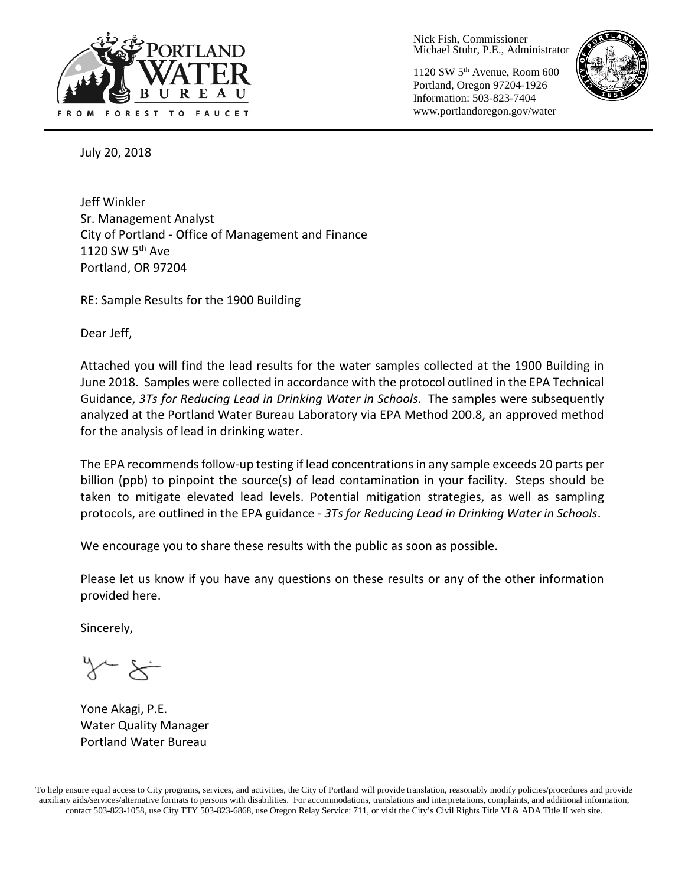

Nick Fish, Commissioner Michael Stuhr, P.E., Administrator

1120 SW 5th Avenue, Room 600 Portland, Oregon 97204-1926 Information: 503-823-7404 www.portlandoregon.gov/water



July 20, 2018

Jeff Winkler Sr. Management Analyst City of Portland - Office of Management and Finance 1120 SW 5<sup>th</sup> Ave Portland, OR 97204

RE: Sample Results for the 1900 Building

Dear Jeff,

Attached you will find the lead results for the water samples collected at the 1900 Building in June 2018. Samples were collected in accordance with the protocol outlined in the EPA Technical Guidance, *3Ts for Reducing Lead in Drinking Water in Schools*. The samples were subsequently analyzed at the Portland Water Bureau Laboratory via EPA Method 200.8, an approved method for the analysis of lead in drinking water.

The EPA recommends follow-up testing if lead concentrations in any sample exceeds 20 parts per billion (ppb) to pinpoint the source(s) of lead contamination in your facility. Steps should be taken to mitigate elevated lead levels. Potential mitigation strategies, as well as sampling protocols, are outlined in the EPA guidance - *3Ts for Reducing Lead in Drinking Water in Schools*.

We encourage you to share these results with the public as soon as possible.

Please let us know if you have any questions on these results or any of the other information provided here.

Sincerely,

Yone Akagi, P.E. Water Quality Manager Portland Water Bureau

To help ensure equal access to City programs, services, and activities, the City of Portland will provide translation, reasonably modify policies/procedures and provide auxiliary aids/services/alternative formats to persons with disabilities. For accommodations, translations and interpretations, complaints, and additional information, contact 503-823-1058, use City TTY 503-823-6868, use Oregon Relay Service: 711, or visi[t the City's Civil Rights Title VI & ADA Title II web site.](http://www.portlandoregon.gov/oehr/66458)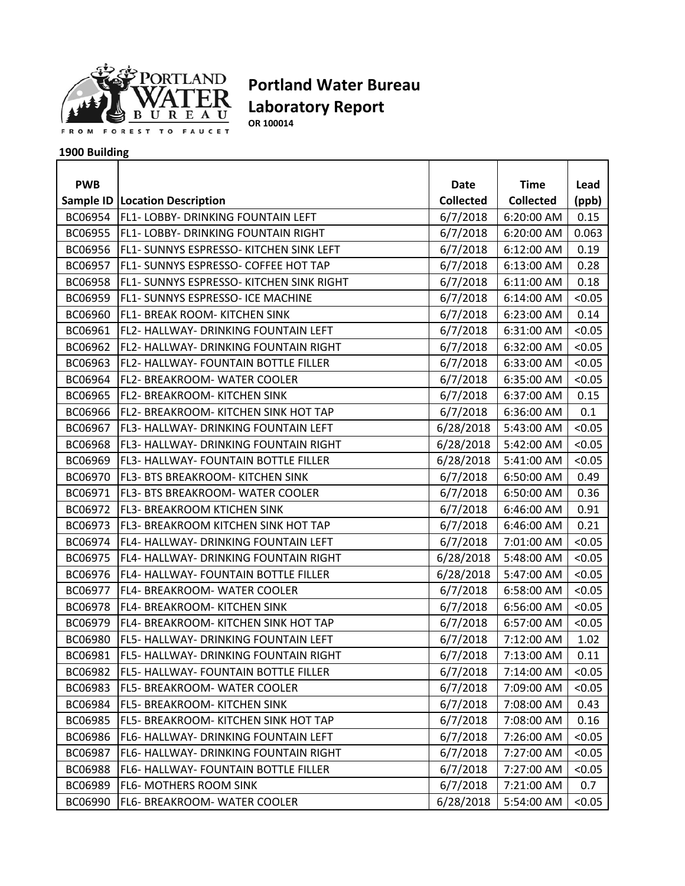

## **Portland Water Bureau Laboratory Report**

**OR 100014**

## **1900 Building**

| <b>PWB</b> |                                              | Date             | <b>Time</b>      | Lead   |
|------------|----------------------------------------------|------------------|------------------|--------|
|            | <b>Sample ID   Location Description</b>      | <b>Collected</b> | <b>Collected</b> | (ppb)  |
|            | BC06954   FL1- LOBBY- DRINKING FOUNTAIN LEFT | 6/7/2018         | 6:20:00 AM       | 0.15   |
| BC06955    | <b>FL1-LOBBY-DRINKING FOUNTAIN RIGHT</b>     | 6/7/2018         | 6:20:00 AM       | 0.063  |
| BC06956    | FL1- SUNNYS ESPRESSO- KITCHEN SINK LEFT      | 6/7/2018         | 6:12:00 AM       | 0.19   |
| BC06957    | FL1- SUNNYS ESPRESSO- COFFEE HOT TAP         | 6/7/2018         | 6:13:00 AM       | 0.28   |
| BC06958    | FL1- SUNNYS ESPRESSO- KITCHEN SINK RIGHT     | 6/7/2018         | 6:11:00 AM       | 0.18   |
| BC06959    | FL1- SUNNYS ESPRESSO- ICE MACHINE            | 6/7/2018         | 6:14:00 AM       | < 0.05 |
| BC06960    | FL1- BREAK ROOM- KITCHEN SINK                | 6/7/2018         | 6:23:00 AM       | 0.14   |
| BC06961    | FL2- HALLWAY- DRINKING FOUNTAIN LEFT         | 6/7/2018         | 6:31:00 AM       | < 0.05 |
| BC06962    | FL2- HALLWAY- DRINKING FOUNTAIN RIGHT        | 6/7/2018         | 6:32:00 AM       | < 0.05 |
| BC06963    | FL2- HALLWAY- FOUNTAIN BOTTLE FILLER         | 6/7/2018         | 6:33:00 AM       | < 0.05 |
| BC06964    | <b>FL2- BREAKROOM- WATER COOLER</b>          | 6/7/2018         | 6:35:00 AM       | < 0.05 |
| BC06965    | FL2- BREAKROOM- KITCHEN SINK                 | 6/7/2018         | 6:37:00 AM       | 0.15   |
| BC06966    | FL2- BREAKROOM- KITCHEN SINK HOT TAP         | 6/7/2018         | 6:36:00 AM       | 0.1    |
| BC06967    | FL3- HALLWAY- DRINKING FOUNTAIN LEFT         | 6/28/2018        | 5:43:00 AM       | < 0.05 |
| BC06968    | FL3- HALLWAY- DRINKING FOUNTAIN RIGHT        | 6/28/2018        | 5:42:00 AM       | < 0.05 |
| BC06969    | FL3- HALLWAY- FOUNTAIN BOTTLE FILLER         | 6/28/2018        | 5:41:00 AM       | < 0.05 |
| BC06970    | FL3- BTS BREAKROOM- KITCHEN SINK             | 6/7/2018         | 6:50:00 AM       | 0.49   |
| BC06971    | FL3- BTS BREAKROOM- WATER COOLER             | 6/7/2018         | 6:50:00 AM       | 0.36   |
| BC06972    | FL3- BREAKROOM KTICHEN SINK                  | 6/7/2018         | 6:46:00 AM       | 0.91   |
| BC06973    | <b>FL3- BREAKROOM KITCHEN SINK HOT TAP</b>   | 6/7/2018         | 6:46:00 AM       | 0.21   |
| BC06974    | FL4- HALLWAY- DRINKING FOUNTAIN LEFT         | 6/7/2018         | 7:01:00 AM       | < 0.05 |
| BC06975    | FL4- HALLWAY- DRINKING FOUNTAIN RIGHT        | 6/28/2018        | 5:48:00 AM       | < 0.05 |
| BC06976    | FL4- HALLWAY- FOUNTAIN BOTTLE FILLER         | 6/28/2018        | 5:47:00 AM       | < 0.05 |
| BC06977    | FL4- BREAKROOM- WATER COOLER                 | 6/7/2018         | 6:58:00 AM       | < 0.05 |
| BC06978    | FL4- BREAKROOM- KITCHEN SINK                 | 6/7/2018         | 6:56:00 AM       | < 0.05 |
| BC06979    | FL4- BREAKROOM- KITCHEN SINK HOT TAP         | 6/7/2018         | 6:57:00 AM       | < 0.05 |
| BC06980    | FL5- HALLWAY- DRINKING FOUNTAIN LEFT         | 6/7/2018         | 7:12:00 AM       | 1.02   |
| BC06981    | FL5- HALLWAY- DRINKING FOUNTAIN RIGHT        | 6/7/2018         | 7:13:00 AM       | 0.11   |
| BC06982    | FL5- HALLWAY- FOUNTAIN BOTTLE FILLER         | 6/7/2018         | 7:14:00 AM       | < 0.05 |
| BC06983    | FL5- BREAKROOM- WATER COOLER                 | 6/7/2018         | 7:09:00 AM       | < 0.05 |
| BC06984    | FL5- BREAKROOM- KITCHEN SINK                 | 6/7/2018         | 7:08:00 AM       | 0.43   |
| BC06985    | FL5- BREAKROOM- KITCHEN SINK HOT TAP         | 6/7/2018         | 7:08:00 AM       | 0.16   |
| BC06986    | FL6- HALLWAY- DRINKING FOUNTAIN LEFT         | 6/7/2018         | 7:26:00 AM       | < 0.05 |
| BC06987    | FL6- HALLWAY- DRINKING FOUNTAIN RIGHT        | 6/7/2018         | 7:27:00 AM       | < 0.05 |
| BC06988    | FL6- HALLWAY- FOUNTAIN BOTTLE FILLER         | 6/7/2018         | 7:27:00 AM       | < 0.05 |
| BC06989    | FL6- MOTHERS ROOM SINK                       | 6/7/2018         | 7:21:00 AM       | 0.7    |
| BC06990    | FL6- BREAKROOM- WATER COOLER                 | 6/28/2018        | 5:54:00 AM       | < 0.05 |